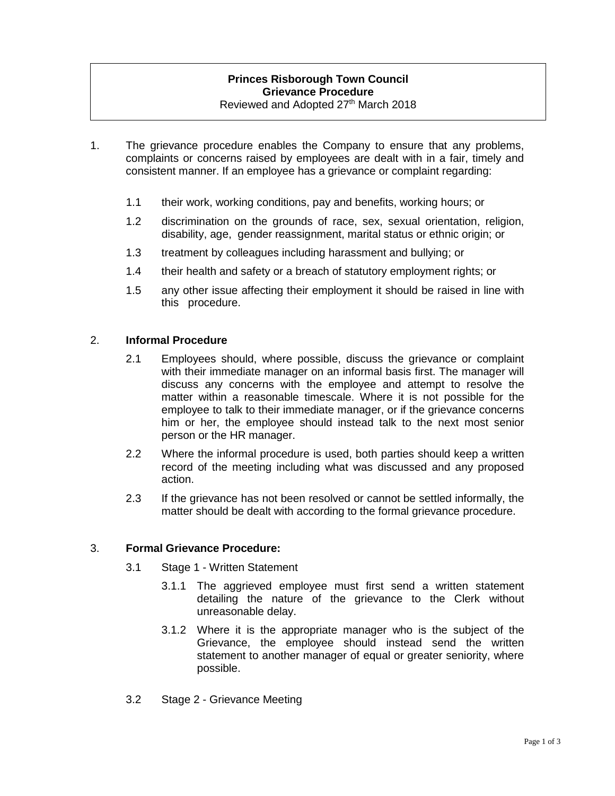# **Princes Risborough Town Council Grievance Procedure**

Reviewed and Adopted 27<sup>th</sup> March 2018

- 1. The grievance procedure enables the Company to ensure that any problems, complaints or concerns raised by employees are dealt with in a fair, timely and consistent manner. If an employee has a grievance or complaint regarding:
	- 1.1 their work, working conditions, pay and benefits, working hours; or
	- 1.2 discrimination on the grounds of race, sex, sexual orientation, religion, disability, age, gender reassignment, marital status or ethnic origin; or
	- 1.3 treatment by colleagues including harassment and bullying; or
	- 1.4 their health and safety or a breach of statutory employment rights; or
	- 1.5 any other issue affecting their employment it should be raised in line with this procedure.

### 2. **Informal Procedure**

- 2.1 Employees should, where possible, discuss the grievance or complaint with their immediate manager on an informal basis first. The manager will discuss any concerns with the employee and attempt to resolve the matter within a reasonable timescale. Where it is not possible for the employee to talk to their immediate manager, or if the grievance concerns him or her, the employee should instead talk to the next most senior person or the HR manager.
- 2.2 Where the informal procedure is used, both parties should keep a written record of the meeting including what was discussed and any proposed action.
- 2.3 If the grievance has not been resolved or cannot be settled informally, the matter should be dealt with according to the formal grievance procedure.

#### 3. **Formal Grievance Procedure:**

- 3.1 Stage 1 Written Statement
	- 3.1.1 The aggrieved employee must first send a written statement detailing the nature of the grievance to the Clerk without unreasonable delay.
	- 3.1.2 Where it is the appropriate manager who is the subject of the Grievance, the employee should instead send the written statement to another manager of equal or greater seniority, where possible.
- 3.2 Stage 2 Grievance Meeting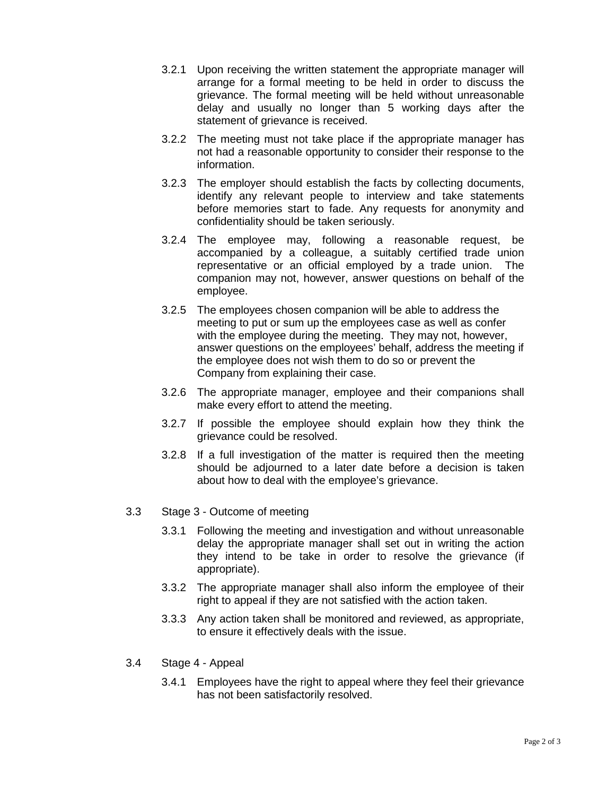- 3.2.1 Upon receiving the written statement the appropriate manager will arrange for a formal meeting to be held in order to discuss the grievance. The formal meeting will be held without unreasonable delay and usually no longer than 5 working days after the statement of grievance is received.
- 3.2.2 The meeting must not take place if the appropriate manager has not had a reasonable opportunity to consider their response to the information.
- 3.2.3 The employer should establish the facts by collecting documents, identify any relevant people to interview and take statements before memories start to fade. Any requests for anonymity and confidentiality should be taken seriously.
- 3.2.4 The employee may, following a reasonable request, be accompanied by a colleague, a suitably certified trade union representative or an official employed by a trade union. The companion may not, however, answer questions on behalf of the employee.
- 3.2.5 The employees chosen companion will be able to address the meeting to put or sum up the employees case as well as confer with the employee during the meeting. They may not, however, answer questions on the employees' behalf, address the meeting if the employee does not wish them to do so or prevent the Company from explaining their case.
- 3.2.6 The appropriate manager, employee and their companions shall make every effort to attend the meeting.
- 3.2.7 If possible the employee should explain how they think the grievance could be resolved.
- 3.2.8 If a full investigation of the matter is required then the meeting should be adjourned to a later date before a decision is taken about how to deal with the employee's grievance.
- 3.3 Stage 3 Outcome of meeting
	- 3.3.1 Following the meeting and investigation and without unreasonable delay the appropriate manager shall set out in writing the action they intend to be take in order to resolve the grievance (if appropriate).
	- 3.3.2 The appropriate manager shall also inform the employee of their right to appeal if they are not satisfied with the action taken.
	- 3.3.3 Any action taken shall be monitored and reviewed, as appropriate, to ensure it effectively deals with the issue.
- 3.4 Stage 4 Appeal
	- 3.4.1 Employees have the right to appeal where they feel their grievance has not been satisfactorily resolved.